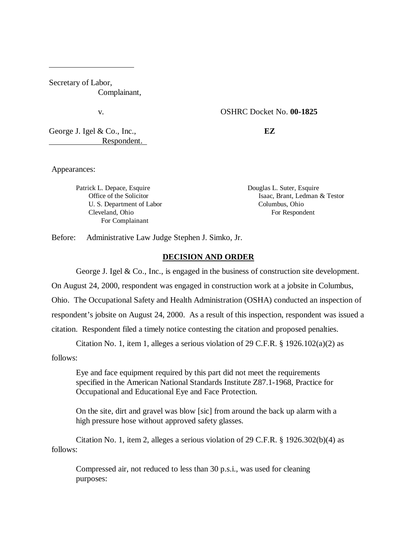Secretary of Labor, Complainant,

## v. OSHRC Docket No. **00-1825**

George J. Igel & Co., Inc., **EZ** Respondent.

Appearances:

ı

Patrick L. Depace, Esquire **Douglas L. Suter, Esquire** Douglas L. Suter, Esquire U. S. Department of Labor Columbus, Ohio Cleveland, Ohio For Respondent For Complainant

Office of the Solicitor **Isaac, Brant, Ledman & Testor** 

Before: Administrative Law Judge Stephen J. Simko, Jr.

### **DECISION AND ORDER**

George J. Igel & Co., Inc., is engaged in the business of construction site development.

On August 24, 2000, respondent was engaged in construction work at a jobsite in Columbus,

Ohio. The Occupational Safety and Health Administration (OSHA) conducted an inspection of

respondent's jobsite on August 24, 2000. As a result of this inspection, respondent was issued a

citation. Respondent filed a timely notice contesting the citation and proposed penalties.

Citation No. 1, item 1, alleges a serious violation of 29 C.F.R.  $\S$  1926.102(a)(2) as

follows:

Eye and face equipment required by this part did not meet the requirements specified in the American National Standards Institute Z87.1-1968, Practice for Occupational and Educational Eye and Face Protection.

On the site, dirt and gravel was blow [sic] from around the back up alarm with a high pressure hose without approved safety glasses.

Citation No. 1, item 2, alleges a serious violation of 29 C.F.R. § 1926.302(b)(4) as follows:

Compressed air, not reduced to less than 30 p.s.i., was used for cleaning purposes: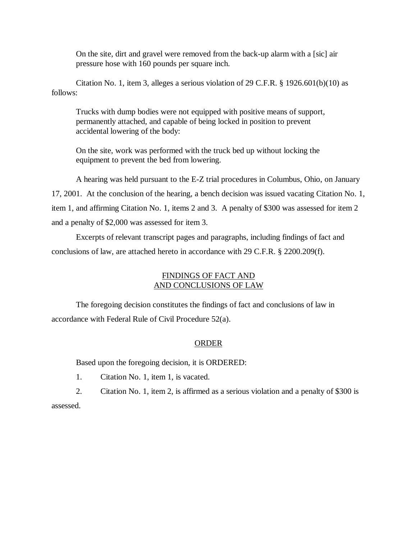On the site, dirt and gravel were removed from the back-up alarm with a [sic] air pressure hose with 160 pounds per square inch.

Citation No. 1, item 3, alleges a serious violation of 29 C.F.R. § 1926.601(b)(10) as follows:

Trucks with dump bodies were not equipped with positive means of support, permanently attached, and capable of being locked in position to prevent accidental lowering of the body:

On the site, work was performed with the truck bed up without locking the equipment to prevent the bed from lowering.

A hearing was held pursuant to the E-Z trial procedures in Columbus, Ohio, on January 17, 2001. At the conclusion of the hearing, a bench decision was issued vacating Citation No. 1, item 1, and affirming Citation No. 1, items 2 and 3. A penalty of \$300 was assessed for item 2 and a penalty of \$2,000 was assessed for item 3.

Excerpts of relevant transcript pages and paragraphs, including findings of fact and conclusions of law, are attached hereto in accordance with 29 C.F.R. § 2200.209(f).

# FINDINGS OF FACT AND AND CONCLUSIONS OF LAW

The foregoing decision constitutes the findings of fact and conclusions of law in accordance with Federal Rule of Civil Procedure 52(a).

## ORDER

Based upon the foregoing decision, it is ORDERED:

1. Citation No. 1, item 1, is vacated.

2. Citation No. 1, item 2, is affirmed as a serious violation and a penalty of \$300 is assessed.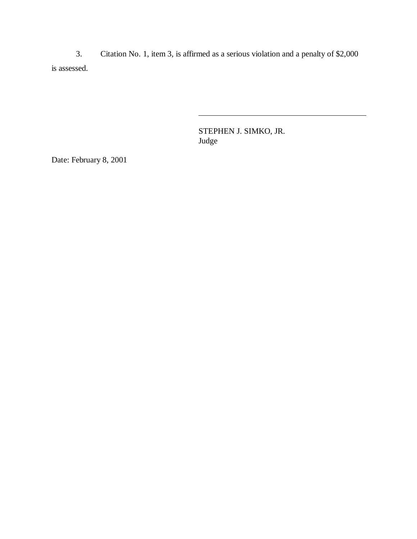3. Citation No. 1, item 3, is affirmed as a serious violation and a penalty of \$2,000 is assessed.

 $\overline{a}$ 

STEPHEN J. SIMKO, JR. Judge

Date: February 8, 2001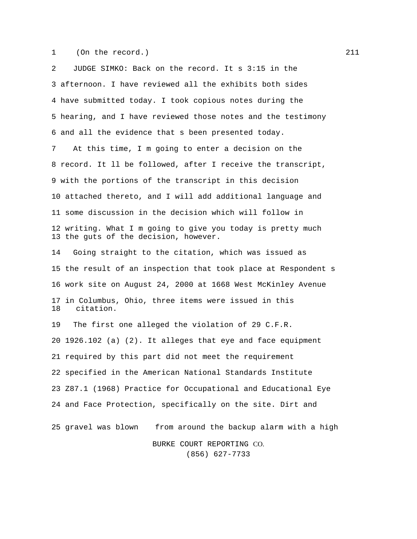1 (On the record.) 211

2 JUDGE SIMKO: Back on the record. It s 3:15 in the 3 afternoon. I have reviewed all the exhibits both sides 4 have submitted today. I took copious notes during the 5 hearing, and I have reviewed those notes and the testimony 6 and all the evidence that s been presented today. 7 At this time, I m going to enter a decision on the 8 record. It ll be followed, after I receive the transcript, 9 with the portions of the transcript in this decision 10 attached thereto, and I will add additional language and 11 some discussion in the decision which will follow in 12 writing. What I m going to give you today is pretty much 13 the guts of the decision, however. 14 Going straight to the citation, which was issued as 15 the result of an inspection that took place at Respondent s 16 work site on August 24, 2000 at 1668 West McKinley Avenue 17 in Columbus, Ohio, three items were issued in this 18 citation. 19 The first one alleged the violation of 29 C.F.R. 20 1926.102 (a) (2). It alleges that eye and face equipment 21 required by this part did not meet the requirement 22 specified in the American National Standards Institute 23 Z87.1 (1968) Practice for Occupational and Educational Eye 24 and Face Protection, specifically on the site. Dirt and 25 gravel was blown from around the backup alarm with a high BURKE COURT REPORTING CO. (856) 627-7733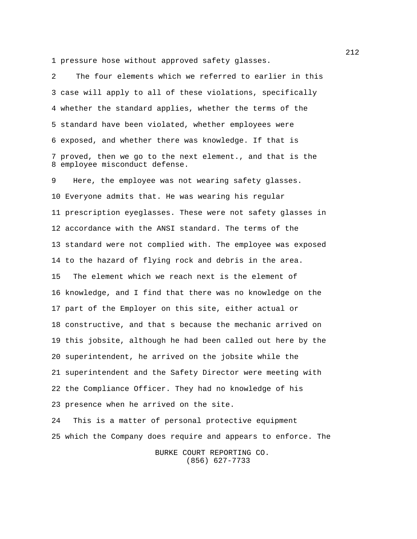1 pressure hose without approved safety glasses.

2 The four elements which we referred to earlier in this 3 case will apply to all of these violations, specifically 4 whether the standard applies, whether the terms of the 5 standard have been violated, whether employees were 6 exposed, and whether there was knowledge. If that is 7 proved, then we go to the next element., and that is the 8 employee misconduct defense.

9 Here, the employee was not wearing safety glasses. 10 Everyone admits that. He was wearing his regular 11 prescription eyeglasses. These were not safety glasses in 12 accordance with the ANSI standard. The terms of the 13 standard were not complied with. The employee was exposed 14 to the hazard of flying rock and debris in the area. 15 The element which we reach next is the element of 16 knowledge, and I find that there was no knowledge on the 17 part of the Employer on this site, either actual or 18 constructive, and that s because the mechanic arrived on 19 this jobsite, although he had been called out here by the 20 superintendent, he arrived on the jobsite while the 21 superintendent and the Safety Director were meeting with 22 the Compliance Officer. They had no knowledge of his 23 presence when he arrived on the site.

24 This is a matter of personal protective equipment 25 which the Company does require and appears to enforce. The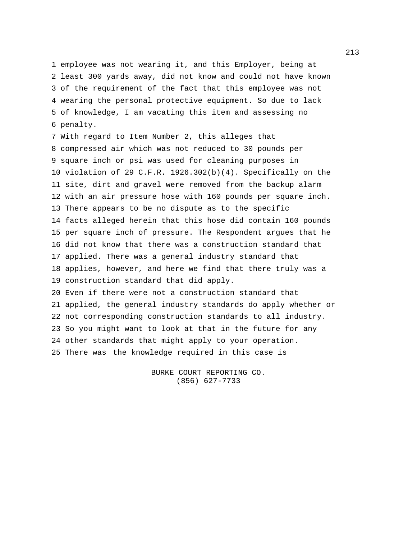1 employee was not wearing it, and this Employer, being at 2 least 300 yards away, did not know and could not have known 3 of the requirement of the fact that this employee was not 4 wearing the personal protective equipment. So due to lack 5 of knowledge, I am vacating this item and assessing no 6 penalty.

7 With regard to Item Number 2, this alleges that 8 compressed air which was not reduced to 30 pounds per 9 square inch or psi was used for cleaning purposes in 10 violation of 29 C.F.R. 1926.302(b)(4). Specifically on the 11 site, dirt and gravel were removed from the backup alarm 12 with an air pressure hose with 160 pounds per square inch. 13 There appears to be no dispute as to the specific 14 facts alleged herein that this hose did contain 160 pounds 15 per square inch of pressure. The Respondent argues that he 16 did not know that there was a construction standard that 17 applied. There was a general industry standard that 18 applies, however, and here we find that there truly was a 19 construction standard that did apply. 20 Even if there were not a construction standard that 21 applied, the general industry standards do apply whether or 22 not corresponding construction standards to all industry. 23 So you might want to look at that in the future for any 24 other standards that might apply to your operation. 25 There was the knowledge required in this case is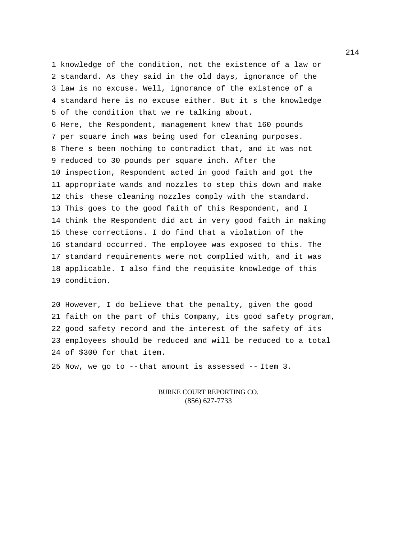1 knowledge of the condition, not the existence of a law or 2 standard. As they said in the old days, ignorance of the 3 law is no excuse. Well, ignorance of the existence of a 4 standard here is no excuse either. But it s the knowledge 5 of the condition that we re talking about. 6 Here, the Respondent, management knew that 160 pounds 7 per square inch was being used for cleaning purposes. 8 There s been nothing to contradict that, and it was not 9 reduced to 30 pounds per square inch. After the 10 inspection, Respondent acted in good faith and got the 11 appropriate wands and nozzles to step this down and make 12 this these cleaning nozzles comply with the standard. 13 This goes to the good faith of this Respondent, and I 14 think the Respondent did act in very good faith in making 15 these corrections. I do find that a violation of the 16 standard occurred. The employee was exposed to this. The 17 standard requirements were not complied with, and it was 18 applicable. I also find the requisite knowledge of this 19 condition.

20 However, I do believe that the penalty, given the good 21 faith on the part of this Company, its good safety program, 22 good safety record and the interest of the safety of its 23 employees should be reduced and will be reduced to a total 24 of \$300 for that item.

25 Now, we go to --that amount is assessed -- Item 3.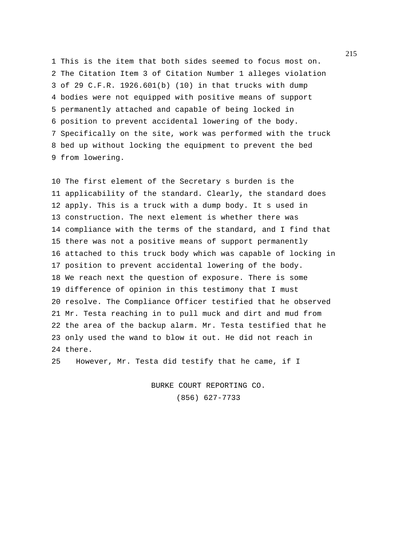1 This is the item that both sides seemed to focus most on. 2 The Citation Item 3 of Citation Number 1 alleges violation 3 of 29 C.F.R. 1926.601(b) (10) in that trucks with dump 4 bodies were not equipped with positive means of support 5 permanently attached and capable of being locked in 6 position to prevent accidental lowering of the body. 7 Specifically on the site, work was performed with the truck 8 bed up without locking the equipment to prevent the bed 9 from lowering.

10 The first element of the Secretary s burden is the 11 applicability of the standard. Clearly, the standard does 12 apply. This is a truck with a dump body. It s used in 13 construction. The next element is whether there was 14 compliance with the terms of the standard, and I find that 15 there was not a positive means of support permanently 16 attached to this truck body which was capable of locking in 17 position to prevent accidental lowering of the body. 18 We reach next the question of exposure. There is some 19 difference of opinion in this testimony that I must 20 resolve. The Compliance Officer testified that he observed 21 Mr. Testa reaching in to pull muck and dirt and mud from 22 the area of the backup alarm. Mr. Testa testified that he 23 only used the wand to blow it out. He did not reach in 24 there.

25 However, Mr. Testa did testify that he came, if I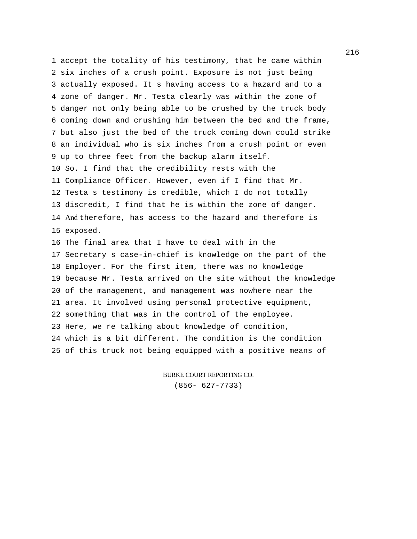1 accept the totality of his testimony, that he came within 2 six inches of a crush point. Exposure is not just being 3 actually exposed. It s having access to a hazard and to a 4 zone of danger. Mr. Testa clearly was within the zone of 5 danger not only being able to be crushed by the truck body 6 coming down and crushing him between the bed and the frame, 7 but also just the bed of the truck coming down could strike 8 an individual who is six inches from a crush point or even 9 up to three feet from the backup alarm itself. 10 So. I find that the credibility rests with the 11 Compliance Officer. However, even if I find that Mr. 12 Testa s testimony is credible, which I do not totally 13 discredit, I find that he is within the zone of danger. 14 And therefore, has access to the hazard and therefore is 15 exposed. 16 The final area that I have to deal with in the 17 Secretary s case-in-chief is knowledge on the part of the 18 Employer. For the first item, there was no knowledge 19 because Mr. Testa arrived on the site without the knowledge 20 of the management, and management was nowhere near the 21 area. It involved using personal protective equipment, 22 something that was in the control of the employee. 23 Here, we re talking about knowledge of condition,

24 which is a bit different. The condition is the condition 25 of this truck not being equipped with a positive means of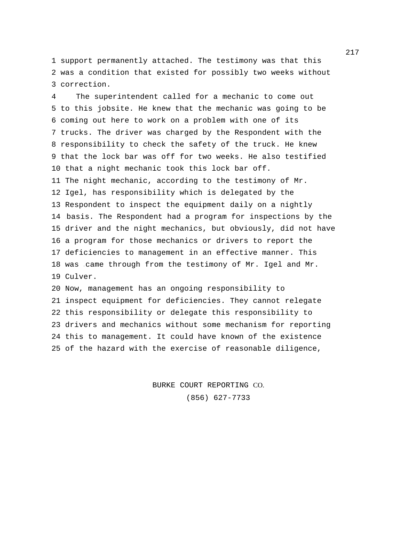1 support permanently attached. The testimony was that this 2 was a condition that existed for possibly two weeks without 3 correction.

4 The superintendent called for a mechanic to come out 5 to this jobsite. He knew that the mechanic was going to be 6 coming out here to work on a problem with one of its 7 trucks. The driver was charged by the Respondent with the 8 responsibility to check the safety of the truck. He knew 9 that the lock bar was off for two weeks. He also testified 10 that a night mechanic took this lock bar off. 11 The night mechanic, according to the testimony of Mr. 12 Igel, has responsibility which is delegated by the 13 Respondent to inspect the equipment daily on a nightly 14 basis. The Respondent had a program for inspections by the 15 driver and the night mechanics, but obviously, did not have 16 a program for those mechanics or drivers to report the 17 deficiencies to management in an effective manner. This 18 was came through from the testimony of Mr. Igel and Mr. 19 Culver. 20 Now, management has an ongoing responsibility to

21 inspect equipment for deficiencies. They cannot relegate 22 this responsibility or delegate this responsibility to 23 drivers and mechanics without some mechanism for reporting 24 this to management. It could have known of the existence 25 of the hazard with the exercise of reasonable diligence,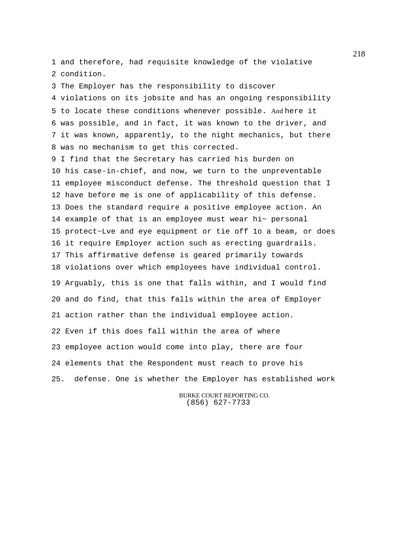1 and therefore, had requisite knowledge of the violative 2 condition.

3 The Employer has the responsibility to discover 4 violations on its jobsite and has an ongoing responsibility 5 to locate these conditions whenever possible. And here it 6 was possible, and in fact, it was known to the driver, and 7 it was known, apparently, to the night mechanics, but there 8 was no mechanism to get this corrected. 9 I find that the Secretary has carried his burden on 10 his case-in-chief, and now, we turn to the unpreventable 11 employee misconduct defense. The threshold question that I 12 have before me is one of applicability of this defense. 13 Does the standard require a positive employee action. An 14 example of that is an employee must wear hi~ personal 15 protect~Lve and eye equipment or tie off 1o a beam, or does 16 it require Employer action such as erecting guardrails. 17 This affirmative defense is geared primarily towards 18 violations over which employees have individual control. 19 Arguably, this is one that falls within, and I would find 20 and do find, that this falls within the area of Employer 21 action rather than the individual employee action. 22 Even if this does fall within the area of where 23 employee action would come into play, there are four 24 elements that the Respondent must reach to prove his 25. defense. One is whether the Employer has established work